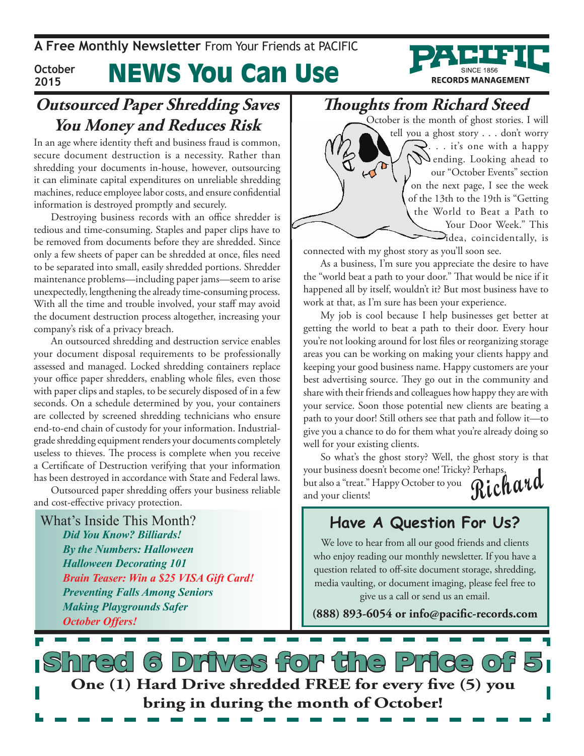**A Free Monthly Newsletter** From Your Friends at Pacific



#### News You Can Use **October 2015**

### **Outsourced Paper Shredding Saves You Money and Reduces Risk**

In an age where identity theft and business fraud is common, secure document destruction is a necessity. Rather than shredding your documents in-house, however, outsourcing it can eliminate capital expenditures on unreliable shredding machines, reduce employee labor costs, and ensure confidential information is destroyed promptly and securely.

Destroying business records with an office shredder is tedious and time-consuming. Staples and paper clips have to be removed from documents before they are shredded. Since only a few sheets of paper can be shredded at once, files need to be separated into small, easily shredded portions. Shredder maintenance problems—including paper jams—seem to arise unexpectedly, lengthening the already time-consuming process. With all the time and trouble involved, your staff may avoid the document destruction process altogether, increasing your company's risk of a privacy breach.

An outsourced shredding and destruction service enables your document disposal requirements to be professionally assessed and managed. Locked shredding containers replace your office paper shredders, enabling whole files, even those with paper clips and staples, to be securely disposed of in a few seconds. On a schedule determined by you, your containers are collected by screened shredding technicians who ensure end-to-end chain of custody for your information. Industrialgrade shredding equipment renders your documents completely useless to thieves. The process is complete when you receive a Certificate of Destruction verifying that your information has been destroyed in accordance with State and Federal laws.

Outsourced paper shredding offers your business reliable and cost-effective privacy protection.

What's Inside This Month? *Did You Know? Billiards! By the Numbers: Halloween Halloween Decorating 101 Brain Teaser: Win a \$25 VISA Gift Card! Preventing Falls Among Seniors Making Playgrounds Safer October Offers!*

### **Thoughts from Richard Steed**

October is the month of ghost stories. I will tell you a ghost story . . . don't worry  $\mathcal{S}$ ... it's one with a happy  $\Delta$  ending. Looking ahead to our "October Events" section on the next page, I see the week of the 13th to the 19th is "Getting the World to Beat a Path to Your Door Week." This  $\Box$ idea, coincidentally, is

connected with my ghost story as you'll soon see.

 $\omega^{\alpha}$ 

As a business, I'm sure you appreciate the desire to have the "world beat a path to your door." That would be nice if it happened all by itself, wouldn't it? But most business have to work at that, as I'm sure has been your experience.

My job is cool because I help businesses get better at getting the world to beat a path to their door. Every hour you're not looking around for lost files or reorganizing storage areas you can be working on making your clients happy and keeping your good business name. Happy customers are your best advertising source. They go out in the community and share with their friends and colleagues how happy they are with your service. Soon those potential new clients are beating a path to your door! Still others see that path and follow it—to give you a chance to do for them what you're already doing so well for your existing clients.

**Richard** So what's the ghost story? Well, the ghost story is that your business doesn't become one! Tricky? Perhaps, but also a "treat." Happy October to you and your clients!

### **Have A Question For Us?**

We love to hear from all our good friends and clients who enjoy reading our monthly newsletter. If you have a question related to off-site document storage, shredding, media vaulting, or document imaging, please feel free to give us a call or send us an email.

**(888) 893-6054 or info@pacific-records.com**

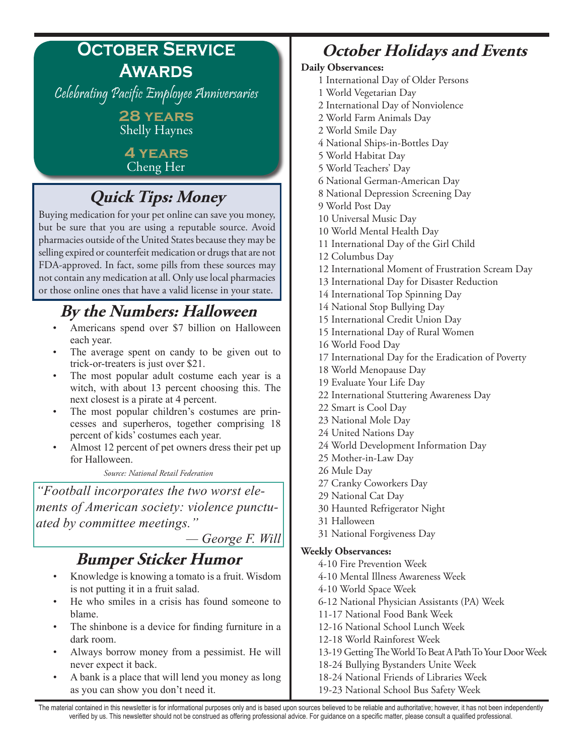## **October Service Awards**

Celebrating Pacific Employee Anniversaries

**28 years** Shelly Haynes

**4 years** Cheng Her

# **Quick Tips: Money**

Buying medication for your pet online can save you money, but be sure that you are using a reputable source. Avoid pharmacies outside of the United States because they may be selling expired or counterfeit medication or drugs that are not FDA-approved. In fact, some pills from these sources may not contain any medication at all. Only use local pharmacies or those online ones that have a valid license in your state.

# **By the Numbers: Halloween**

- Americans spend over \$7 billion on Halloween each year.
- The average spent on candy to be given out to trick-or-treaters is just over \$21.
- The most popular adult costume each year is a witch, with about 13 percent choosing this. The next closest is a pirate at 4 percent.
- The most popular children's costumes are princesses and superheros, together comprising 18 percent of kids' costumes each year.
- Almost 12 percent of pet owners dress their pet up for Halloween.

*Source: National Retail Federation*

*"Football incorporates the two worst elements of American society: violence punctuated by committee meetings."* 

 *— George F. Will*

## **Bumper Sticker Humor**

- Knowledge is knowing a tomato is a fruit. Wisdom is not putting it in a fruit salad.
- He who smiles in a crisis has found someone to blame.
- The shinbone is a device for finding furniture in a dark room.
- Always borrow money from a pessimist. He will never expect it back.
- A bank is a place that will lend you money as long as you can show you don't need it.

# **October Holidays and Events**

#### **Daily Observances:**

- 1 International Day of Older Persons
- 1 World Vegetarian Day
- 2 International Day of Nonviolence
- 2 World Farm Animals Day
- 2 World Smile Day
- 4 National Ships-in-Bottles Day
- 5 World Habitat Day
- 5 World Teachers' Day
- 6 National German-American Day
- 8 National Depression Screening Day
- 9 World Post Day
- 10 Universal Music Day
- 10 World Mental Health Day
- 11 International Day of the Girl Child
- 12 Columbus Day
- 12 International Moment of Frustration Scream Day
- 13 International Day for Disaster Reduction
- 14 International Top Spinning Day
- 14 National Stop Bullying Day
- 15 International Credit Union Day
- 15 International Day of Rural Women
- 16 World Food Day
- 17 International Day for the Eradication of Poverty
- 18 World Menopause Day
- 19 Evaluate Your Life Day
- 22 International Stuttering Awareness Day
- 22 Smart is Cool Day
- 23 National Mole Day
- 24 United Nations Day
- 24 World Development Information Day
- 25 Mother-in-Law Day
- 26 Mule Day
- 27 Cranky Coworkers Day
- 29 National Cat Day
- 30 Haunted Refrigerator Night
- 31 Halloween
- 31 National Forgiveness Day

#### **Weekly Observances:**

- 4-10 Fire Prevention Week
- 4-10 Mental Illness Awareness Week
- 4-10 World Space Week
- 6-12 National Physician Assistants (PA) Week
- 11-17 National Food Bank Week
- 12-16 National School Lunch Week
- 12-18 World Rainforest Week
- 13-19 Getting The World To Beat A Path To Your Door Week
- 18-24 Bullying Bystanders Unite Week
- 18-24 National Friends of Libraries Week
- 19-23 National School Bus Safety Week

The material contained in this newsletter is for informational purposes only and is based upon sources believed to be reliable and authoritative; however, it has not been independently verified by us. This newsletter should not be construed as offering professional advice. For guidance on a specific matter, please consult a qualified professional.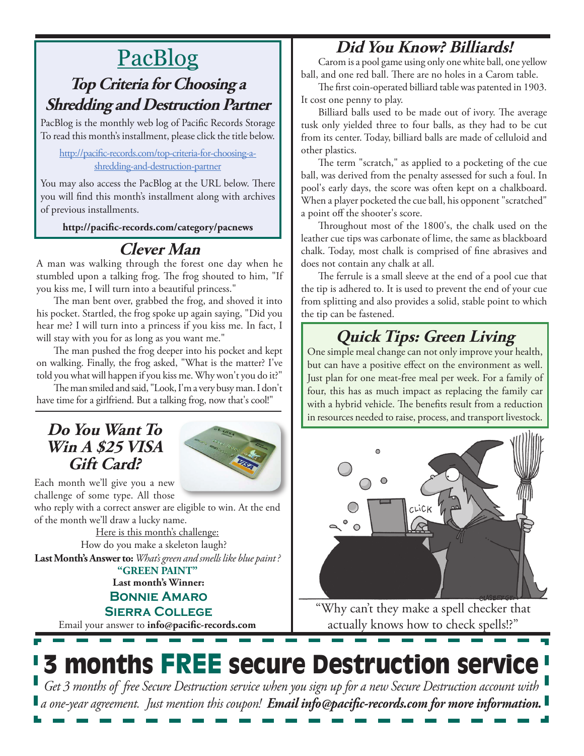### **Did You Know? Billiards!**

# PacBlog

### **Top Criteria for Choosing a Shredding and Destruction Partner**

PacBlog is the monthly web log of Pacific Records Storage To read this month's installment, please click the title below.

#### [http://pacific-records.com/top-criteria-for-choosing-a](http://pacific-records.com/top-criteria-for-choosing-a-shredding-and-destruction-partner)[shredding-and-destruction-partner](http://pacific-records.com/top-criteria-for-choosing-a-shredding-and-destruction-partner)

You may also access the PacBlog at the URL below. There you will find this month's installment along with archives of previous installments.

**http://pacific-records.com/category/pacnews**

## **Clever Man**

A man was walking through the forest one day when he stumbled upon a talking frog. The frog shouted to him, "If you kiss me, I will turn into a beautiful princess."

The man bent over, grabbed the frog, and shoved it into his pocket. Startled, the frog spoke up again saying, "Did you hear me? I will turn into a princess if you kiss me. In fact, I will stay with you for as long as you want me."

The man pushed the frog deeper into his pocket and kept on walking. Finally, the frog asked, "What is the matter? I've told you what will happen if you kiss me. Why won't you do it?"

The man smiled and said, "Look, I'm a very busy man. I don't have time for a girlfriend. But a talking frog, now that's cool!"

### **Do You Want To Win A \$25 VISA Gift Card?**



Each month we'll give you a new challenge of some type. All those

who reply with a correct answer are eligible to win. At the end of the month we'll draw a lucky name.

Here is this month's challenge: How do you make a skeleton laugh? **Last Month's Answer to:** *What's green and smells like blue paint ?* **"GREEN PAINT"**

**Last month's Winner:**

### **Bonnie Amaro**

Email your answer to **info@pacific-records.com Sierra College**

Carom is a pool game using only one white ball, one yellow ball, and one red ball. There are no holes in a Carom table.

The first coin-operated billiard table was patented in 1903. It cost one penny to play.

Billiard balls used to be made out of ivory. The average tusk only yielded three to four balls, as they had to be cut from its center. Today, billiard balls are made of celluloid and other plastics.

The term "scratch," as applied to a pocketing of the cue ball, was derived from the penalty assessed for such a foul. In pool's early days, the score was often kept on a chalkboard. When a player pocketed the cue ball, his opponent "scratched" a point off the shooter's score.

Throughout most of the 1800's, the chalk used on the leather cue tips was carbonate of lime, the same as blackboard chalk. Today, most chalk is comprised of fine abrasives and does not contain any chalk at all.

The ferrule is a small sleeve at the end of a pool cue that the tip is adhered to. It is used to prevent the end of your cue from splitting and also provides a solid, stable point to which the tip can be fastened.

# **Quick Tips: Green Living**

One simple meal change can not only improve your health, but can have a positive effect on the environment as well. Just plan for one meat-free meal per week. For a family of four, this has as much impact as replacing the family car with a hybrid vehicle. The benefits result from a reduction in resources needed to raise, process, and transport livestock.



"Why can't they make a spell checker that actually knows how to check spells!?"

## 3 months FREE secure Destruction service *Get 3 months of free Secure Destruction service when you sign up for a new Secure Destruction account with a one-year agreement. Just mention this coupon! Email info@pacific-records.com for more information.*